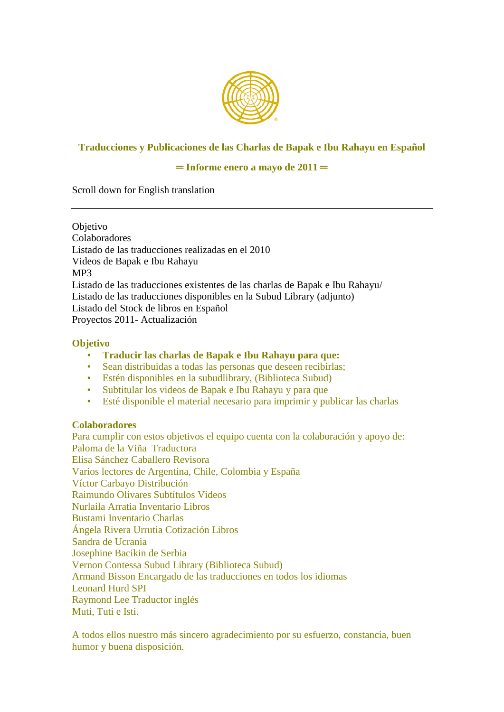

# **Traducciones y Publicaciones de las Charlas de Bapak e Ibu Rahayu en Español**

## **═ Informe enero a mayo de 2011 ═**

Scroll down for English translation

Objetivo Colaboradores Listado de las traducciones realizadas en el 2010 Videos de Bapak e Ibu Rahayu MP3 Listado de las traducciones existentes de las charlas de Bapak e Ibu Rahayu/ Listado de las traducciones disponibles en la Subud Library (adjunto) Listado del Stock de libros en Español Proyectos 2011- Actualización

### **Objetivo**

- **Traducir las charlas de Bapak e Ibu Rahayu para que:**
- Sean distribuidas a todas las personas que deseen recibirlas;
- Estén disponibles en la subudlibrary, (Biblioteca Subud)
- Subtitular los videos de Bapak e Ibu Rahayu y para que
- Esté disponible el material necesario para imprimir y publicar las charlas

### **Colaboradores**

Para cumplir con estos objetivos el equipo cuenta con la colaboración y apoyo de: Paloma de la Viña Traductora Elisa Sánchez Caballero Revisora Varios lectores de Argentina, Chile, Colombia y España Víctor Carbayo Distribución Raimundo Olivares Subtítulos Videos Nurlaila Arratia Inventario Libros Bustami Inventario Charlas Ángela Rivera Urrutia Cotización Libros Sandra de Ucrania Josephine Bacikin de Serbia Vernon Contessa Subud Library (Biblioteca Subud) Armand Bisson Encargado de las traducciones en todos los idiomas Leonard Hurd SPI Raymond Lee Traductor inglés Muti, Tuti e Isti.

A todos ellos nuestro más sincero agradecimiento por su esfuerzo, constancia, buen humor y buena disposición.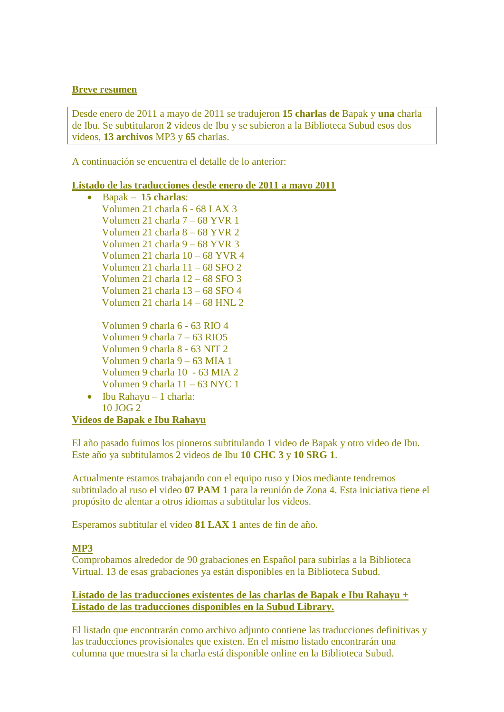### **Breve resumen**

Desde enero de 2011 a mayo de 2011 se tradujeron **15 charlas de** Bapak y **una** charla de Ibu. Se subtitularon **2** videos de Ibu y se subieron a la Biblioteca Subud esos dos videos, **13 archivos** MP3 y **65** charlas.

A continuación se encuentra el detalle de lo anterior:

## **Listado de las traducciones desde enero de 2011 a mayo 2011**

 Bapak – **15 charlas**: Volumen 21 charla 6 - 68 LAX 3 Volumen 21 charla 7 – 68 YVR 1 Volumen 21 charla 8 – 68 YVR 2 Volumen 21 charla 9 – 68 YVR 3 Volumen 21 charla 10 – 68 YVR 4 Volumen 21 charla 11 – 68 SFO 2 Volumen 21 charla 12 – 68 SFO 3 Volumen 21 charla 13 – 68 SFO 4 Volumen 21 charla 14 – 68 HNL 2

Volumen 9 charla 6 - 63 RIO 4 Volumen 9 charla 7 – 63 RIO5 Volumen 9 charla 8 - 63 NIT 2 Volumen 9 charla 9 – 63 MIA 1 Volumen 9 charla 10 - 63 MIA 2 Volumen 9 charla 11 – 63 NYC 1

 $\bullet$  Ibu Rahayu – 1 charla: 10 JOG 2

## **Videos de Bapak e Ibu Rahayu**

El año pasado fuimos los pioneros subtitulando 1 video de Bapak y otro video de Ibu. Este año ya subtitulamos 2 videos de Ibu **10 CHC 3** y **10 SRG 1**.

Actualmente estamos trabajando con el equipo ruso y Dios mediante tendremos subtitulado al ruso el video **07 PAM 1** para la reunión de Zona 4. Esta iniciativa tiene el propósito de alentar a otros idiomas a subtitular los videos.

Esperamos subtitular el video **81 LAX 1** antes de fin de año.

## **MP3**

Comprobamos alrededor de 90 grabaciones en Español para subirlas a la Biblioteca Virtual. 13 de esas grabaciones ya están disponibles en la Biblioteca Subud.

## **Listado de las traducciones existentes de las charlas de Bapak e Ibu Rahayu + Listado de las traducciones disponibles en la Subud Library.**

El listado que encontrarán como archivo adjunto contiene las traducciones definitivas y las traducciones provisionales que existen. En el mismo listado encontrarán una columna que muestra si la charla está disponible online en la Biblioteca Subud.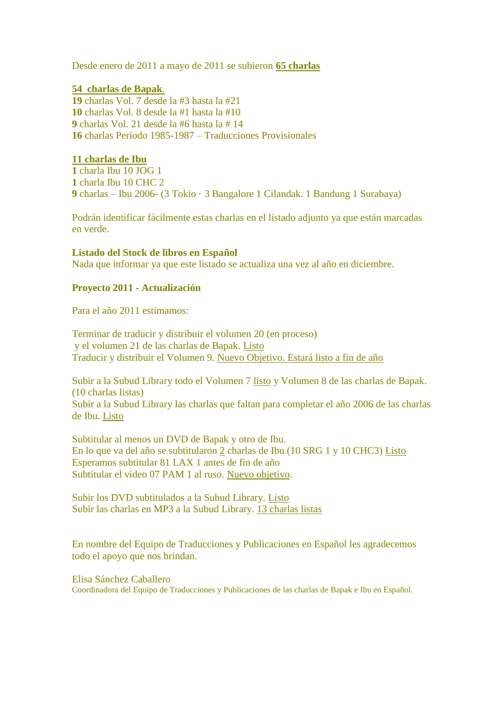Desde enero de 2011 a mayo de 2011 se subieron **65 charlas**

## **54 charlas de Bapak**.

 charlas Vol. 7 desde la #3 hasta la #21 charlas Vol. 8 desde la #1 hasta la #10 charlas Vol. 21 desde la #6 hasta la # 14 charlas Período 1985-1987 – Traducciones Provisionales

### **11 charlas de Ibu**

**1** charla Ibu 10 JOG 1 **1** charla Ibu 10 CHC 2 **9** charlas – Ibu 2006- (3 Tokio · 3 Bangalore 1 Cilandak. 1 Bandung 1 Surabaya)

Podrán identificar fácilmente estas charlas en el listado adjunto ya que están marcadas en verde.

### **Listado del Stock de libros en Español**

Nada que informar ya que este listado se actualiza una vez al año en diciembre.

## **Proyecto 2011 - Actualización**

Para el año 2011 estimamos:

Terminar de traducir y distribuir el volumen 20 (en proceso) y el volumen 21 de las charlas de Bapak. Listo Traducir y distribuir el Volumen 9. Nuevo Objetivo. Estará listo a fin de año

Subir a la Subud Library todo el Volumen 7 listo y Volumen 8 de las charlas de Bapak. (10 charlas listas) Subir a la Subud Library las charlas que faltan para completar el año 2006 de las charlas de Ibu. Listo

Subtitular al menos un DVD de Bapak y otro de Ibu. En lo que va del año se subtitularon 2 charlas de Ibu (10 SRG 1 y 10 CHC3) Listo Esperamos subtitular 81 LAX 1 antes de fin de año Subtitular el video 07 PAM 1 al ruso. Nuevo objetivo.

Subir los DVD subtitulados a la Subud Library. Listo Subir las charlas en MP3 a la Subud Library. 13 charlas listas

En nombre del Equipo de Traducciones y Publicaciones en Español les agradecemos todo el apoyo que nos brindan.

Elisa Sánchez Caballero Coordinadora del Equipo de Traducciones y Publicaciones de las charlas de Bapak e Ibu en Español.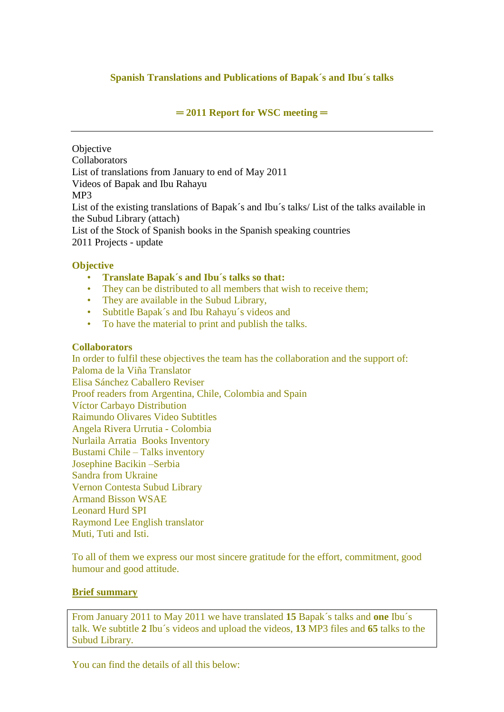# **Spanish Translations and Publications of Bapak´s and Ibu´s talks**

## **═ 2011 Report for WSC meeting ═**

**Objective** Collaborators List of translations from January to end of May 2011 Videos of Bapak and Ibu Rahayu MP3 List of the existing translations of Bapak´s and Ibu´s talks/ List of the talks available in the Subud Library (attach) List of the Stock of Spanish books in the Spanish speaking countries 2011 Projects - update

## **Objective**

- **Translate Bapak´s and Ibu´s talks so that:**
- They can be distributed to all members that wish to receive them;
- They are available in the Subud Library,
- Subtitle Bapak´s and Ibu Rahayu´s videos and
- To have the material to print and publish the talks.

### **Collaborators**

In order to fulfil these objectives the team has the collaboration and the support of: Paloma de la Viña Translator Elisa Sánchez Caballero Reviser Proof readers from Argentina, Chile, Colombia and Spain Víctor Carbayo Distribution Raimundo Olivares Video Subtitles Angela Rivera Urrutia - Colombia Nurlaila Arratia Books Inventory Bustami Chile – Talks inventory Josephine Bacikin –Serbia Sandra from Ukraine Vernon Contesta Subud Library Armand Bisson WSAE Leonard Hurd SPI Raymond Lee English translator Muti, Tuti and Isti.

To all of them we express our most sincere gratitude for the effort, commitment, good humour and good attitude.

### **Brief summary**

From January 2011 to May 2011 we have translated **15** Bapak´s talks and **one** Ibu´s talk. We subtitle **2** Ibu´s videos and upload the videos, **13** MP3 files and **65** talks to the Subud Library.

You can find the details of all this below: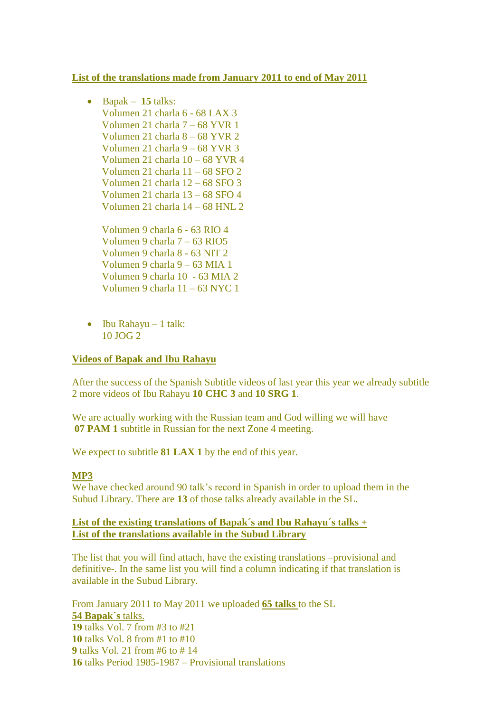## **List of the translations made from January 2011 to end of May 2011**

- Bapak **15** talks: Volumen 21 charla 6 - 68 LAX 3 Volumen 21 charla 7 – 68 YVR 1 Volumen 21 charla 8 – 68 YVR 2 Volumen 21 charla 9 – 68 YVR 3 Volumen 21 charla 10 – 68 YVR 4 Volumen 21 charla 11 – 68 SFO 2 Volumen 21 charla 12 – 68 SFO 3 Volumen 21 charla 13 – 68 SFO 4 Volumen 21 charla 14 – 68 HNL 2 Volumen 9 charla 6 - 63 RIO 4 Volumen 9 charla 7 – 63 RIO5 Volumen 9 charla 8 - 63 NIT 2 Volumen 9 charla 9 – 63 MIA 1 Volumen 9 charla 10 - 63 MIA 2 Volumen 9 charla 11 – 63 NYC 1
- $\bullet$  Ibu Rahayu 1 talk: 10 JOG 2

### **Videos of Bapak and Ibu Rahayu**

After the success of the Spanish Subtitle videos of last year this year we already subtitle 2 more videos of Ibu Rahayu **10 CHC 3** and **10 SRG 1**.

We are actually working with the Russian team and God willing we will have **07 PAM 1** subtitle in Russian for the next Zone 4 meeting.

We expect to subtitle **81 LAX 1** by the end of this year.

### **MP3**

We have checked around 90 talk's record in Spanish in order to upload them in the Subud Library. There are **13** of those talks already available in the SL.

## **List of the existing translations of Bapak´s and Ibu Rahayu´s talks + List of the translations available in the Subud Library**

The list that you will find attach, have the existing translations –provisional and definitive-. In the same list you will find a column indicating if that translation is available in the Subud Library.

From January 2011 to May 2011 we uploaded **65 talks** to the SL **54 Bapak´s** talks. talks Vol. 7 from #3 to #21 talks Vol. 8 from #1 to #10 talks Vol. 21 from #6 to # 14 talks Period 1985-1987 – Provisional translations